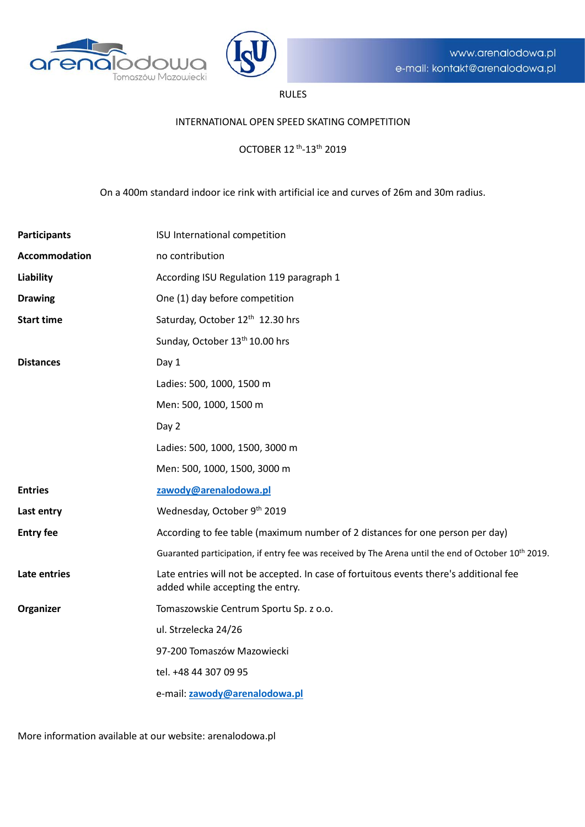



## RULES

#### INTERNATIONAL OPEN SPEED SKATING COMPETITION

OCTOBER 12 th-13th 2019

On a 400m standard indoor ice rink with artificial ice and curves of 26m and 30m radius.

| <b>Participants</b>  | ISU International competition                                                                                              |  |
|----------------------|----------------------------------------------------------------------------------------------------------------------------|--|
| <b>Accommodation</b> | no contribution                                                                                                            |  |
| <b>Liability</b>     | According ISU Regulation 119 paragraph 1                                                                                   |  |
| <b>Drawing</b>       | One (1) day before competition                                                                                             |  |
| <b>Start time</b>    | Saturday, October 12 <sup>th</sup> 12.30 hrs                                                                               |  |
|                      | Sunday, October 13 <sup>th</sup> 10.00 hrs                                                                                 |  |
| <b>Distances</b>     | Day 1                                                                                                                      |  |
|                      | Ladies: 500, 1000, 1500 m                                                                                                  |  |
|                      | Men: 500, 1000, 1500 m                                                                                                     |  |
|                      | Day 2                                                                                                                      |  |
|                      | Ladies: 500, 1000, 1500, 3000 m                                                                                            |  |
|                      | Men: 500, 1000, 1500, 3000 m                                                                                               |  |
| <b>Entries</b>       | zawody@arenalodowa.pl                                                                                                      |  |
| Last entry           | Wednesday, October 9th 2019                                                                                                |  |
| <b>Entry fee</b>     | According to fee table (maximum number of 2 distances for one person per day)                                              |  |
|                      | Guaranted participation, if entry fee was received by The Arena until the end of October 10 <sup>th</sup> 2019.            |  |
| Late entries         | Late entries will not be accepted. In case of fortuitous events there's additional fee<br>added while accepting the entry. |  |
| Organizer            | Tomaszowskie Centrum Sportu Sp. z o.o.                                                                                     |  |
|                      | ul. Strzelecka 24/26                                                                                                       |  |
|                      | 97-200 Tomaszów Mazowiecki                                                                                                 |  |
|                      | tel. +48 44 307 09 95                                                                                                      |  |
|                      | e-mail: zawody@arenalodowa.pl                                                                                              |  |

More information available at our website: arenalodowa.pl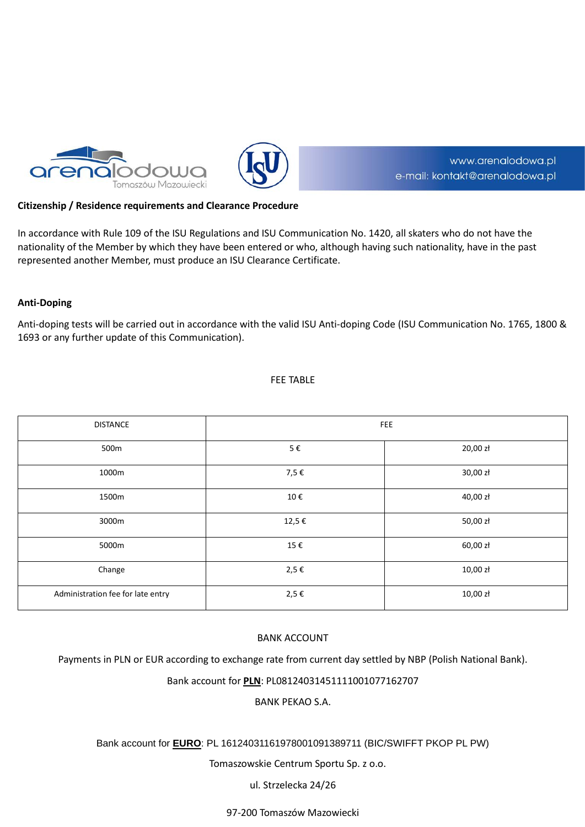



# www.arenalodowa.pl e-mail: kontakt@arenalodowa.pl

### **Citizenship / Residence requirements and Clearance Procedure**

In accordance with Rule 109 of the ISU Regulations and ISU Communication No. 1420, all skaters who do not have the nationality of the Member by which they have been entered or who, although having such nationality, have in the past represented another Member, must produce an ISU Clearance Certificate.

### **Anti-Doping**

Anti-doping tests will be carried out in accordance with the valid ISU Anti-doping Code (ISU Communication No. 1765, 1800 & 1693 or any further update of this Communication).

#### FEE TABLE

| <b>DISTANCE</b>                   | <b>FEE</b> |          |  |
|-----------------------------------|------------|----------|--|
| 500m                              | $5 \in$    | 20,00 zł |  |
| 1000m                             | 7,5€       | 30,00 zł |  |
| 1500m                             | 10€        | 40,00 zł |  |
| 3000m                             | 12,5 €     | 50,00 zł |  |
| 5000m                             | 15€        | 60,00 zł |  |
| Change                            | 2,5 €      | 10,00 zł |  |
| Administration fee for late entry | 2,5€       | 10,00 zł |  |

### BANK ACCOUNT

Payments in PLN or EUR according to exchange rate from current day settled by NBP (Polish National Bank).

Bank account for **PLN**: PL08124031451111001077162707

BANK PEKAO S.A.

### Bank account for **EURO**: PL 16124031161978001091389711 (BIC/SWIFFT PKOP PL PW)

Tomaszowskie Centrum Sportu Sp. z o.o.

ul. Strzelecka 24/26

97-200 Tomaszów Mazowiecki